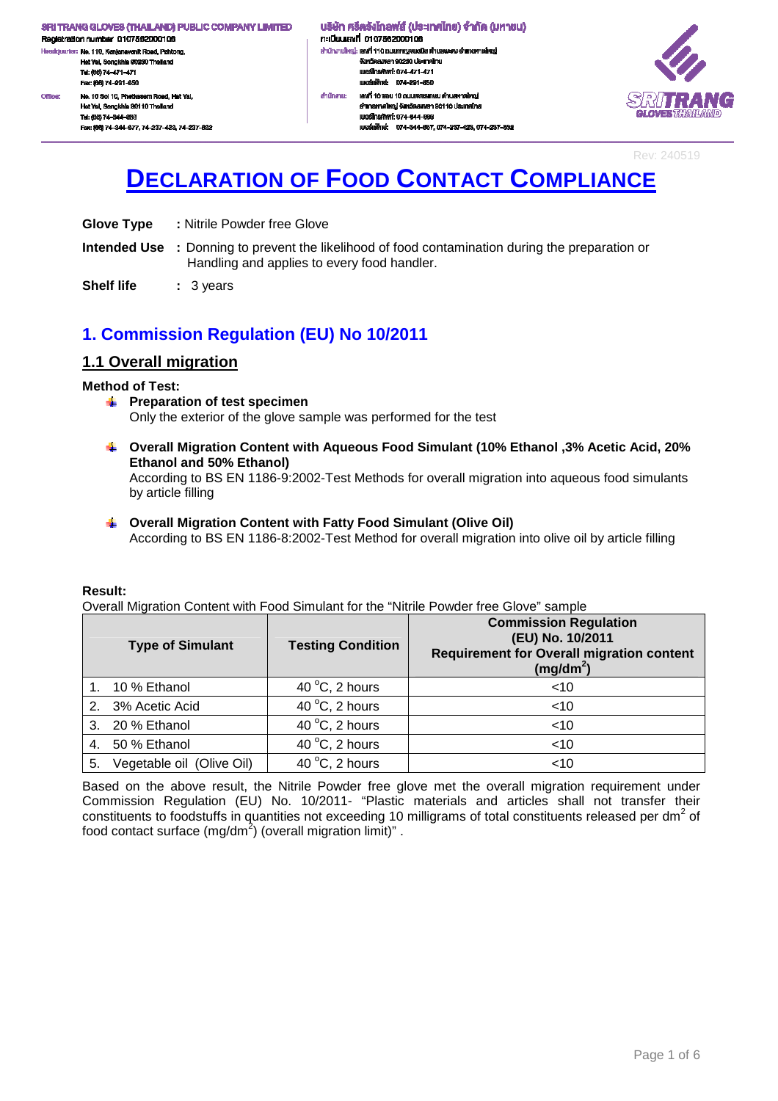.<br>dquarter: No. 110, Kanjanavanit Road, Pahtong, Hat Yai, Songkhla 90230 Thailand Tel: (66) 74-471-471 Fex: (66) 74-291-650 No. 10 Soi 10, Phetkasern Road, Hat Yal, Office: Hat Yai, Songkhla 90110 Thaila Tel: (66) 74-344-663 Fec: (66) 74-344-677, 74-237-423, 74-237-632 ้นธิษัท ศรีตรังโทลฟส์ (ประเทศไทย) จำกัด (มหาชน) กะเบียนเลงที่ 0107562000106 สำนักงานใหญ่: เสงที่ 110 ถนนกาญจนอนิช คำบลพะคง อำเภอคาดใหญ่ งังหวัดสงพลา 90230 ประเทศไทย LINGTON MOTOR 074-471-471 เนอร์เฟิกล่ะ 074-201-650 ahūninu: เองที่ 10 ขอย 10 ถนนเพชรเกษม คำบลหาคใหญ่ อำเภอหาคใหญ่ จังหวัดสงขลา 90110 ประเทศไทย IUDS InsAwri: 074-344-003 และเพื่อน่ะ 074-344-667 074-237-423 074-237-832



Rev: 240519

# **DECLARATION OF FOOD CONTACT COMPLIANCE**

- **Glove Type :** Nitrile Powder free Glove
- **Intended Use :** Donning to prevent the likelihood of food contamination during the preparation or Handling and applies to every food handler.
- **Shelf life : 3 years**

### **1. Commission Regulation (EU) No 10/2011**

### **1.1 Overall migration**

### **Method of Test:**

- **Preparation of test specimen** Only the exterior of the glove sample was performed for the test
- **Overall Migration Content with Aqueous Food Simulant (10% Ethanol ,3% Acetic Acid, 20% Ethanol and 50% Ethanol)**  According to BS EN 1186-9:2002-Test Methods for overall migration into aqueous food simulants by article filling
- **Overall Migration Content with Fatty Food Simulant (Olive Oil)**  According to BS EN 1186-8:2002-Test Method for overall migration into olive oil by article filling

### **Result:**

Overall Migration Content with Food Simulant for the "Nitrile Powder free Glove" sample

|    | <b>Type of Simulant</b>   | <b>Testing Condition</b> | <b>Commission Regulation</b><br>(EU) No. 10/2011<br><b>Requirement for Overall migration content</b><br>$(mg/dm^2)$ |
|----|---------------------------|--------------------------|---------------------------------------------------------------------------------------------------------------------|
|    | 1. 10 % Ethanol           | 40 $\degree$ C, 2 hours  | $<$ 10                                                                                                              |
|    | 2. 3% Acetic Acid         | 40 $\degree$ C, 2 hours  | $<$ 10                                                                                                              |
|    | 3. 20 % Ethanol           | 40 $\degree$ C, 2 hours  | $<$ 10                                                                                                              |
|    | 4. 50 % Ethanol           | 40 $\degree$ C, 2 hours  | $<$ 10                                                                                                              |
| 5. | Vegetable oil (Olive Oil) | 40 $\degree$ C, 2 hours  | $<$ 10                                                                                                              |

Based on the above result, the Nitrile Powder free glove met the overall migration requirement under Commission Regulation (EU) No. 10/2011- "Plastic materials and articles shall not transfer their constituents to foodstuffs in quantities not exceeding 10 milligrams of total constituents released per dm<sup>2</sup> of food contact surface (mg/dm<sup>2</sup>) (overall migration limit)".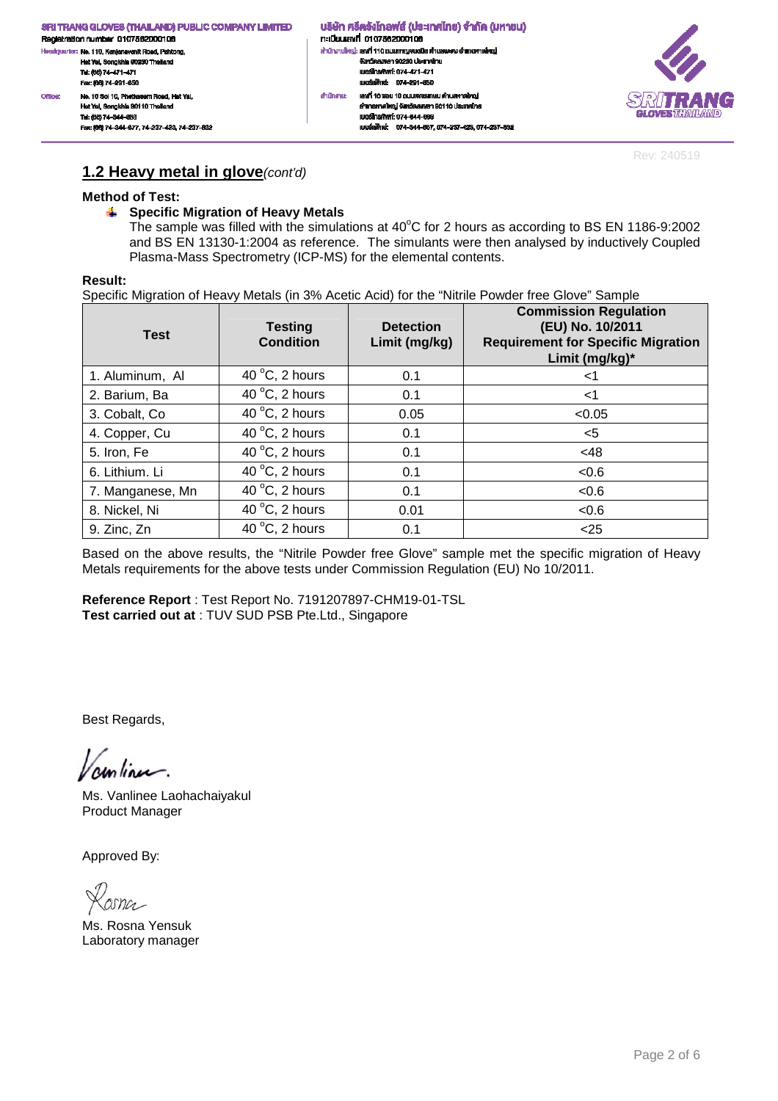n: เมียนเลงที่ 0107562000106 สำนักงานใหญ่: เสงที่ 110 ถนนกาญจนอนิช คำบลพะคง อำเภอคาดใหญ่ งังหวัดสงพลา 90230 ประเทศไทย<br>เบอร์โทรศัพท์: 074-471-471 เนอร์เฟิกล่ะ 074-201-650 เลฟที่ 10 ซอย 10 ถนนเพชรเกษม ดำนลหาดใหญ่ ahūninu: อำเภอหาคใหญ่ จังหวัดสมุขยา 90110 ประเทศไทย IUDS TrishWrf: 074-344-003 เบอร์แพ็กซ์: 074-344-667, 074-237-423, 074-237-632

้นธิษัท ศรีตรังโทลฟส์ (ประเทศไทย) จำกัด (มหาชน)



Rev: 240519

### **1.2 Heavy metal in glove**(cont'd)

### **Method of Test:**

No. 10 Soi 10, Phetkasern Road, Hat Yal,

Fec: (66) 74-344-677, 74-237-423, 74-237-832

Hat Yai, Songkhla 90110 Thaila

### **Specific Migration of Heavy Metals**

The sample was filled with the simulations at  $40^{\circ}$ C for 2 hours as according to BS EN 1186-9:2002 and BS EN 13130-1:2004 as reference. The simulants were then analysed by inductively Coupled Plasma-Mass Spectrometry (ICP-MS) for the elemental contents.

### **Result:**

Fex: (66) 74-201-660

Tel: (66) 74-344-663

Office:

Specific Migration of Heavy Metals (in 3% Acetic Acid) for the "Nitrile Powder free Glove" Sample

| <b>Test</b>      | <b>Testing</b><br><b>Condition</b> | <b>Detection</b><br>Limit (mg/kg) | <b>Commission Regulation</b><br>(EU) No. 10/2011<br><b>Requirement for Specific Migration</b><br>Limit (mg/kg)* |
|------------------|------------------------------------|-----------------------------------|-----------------------------------------------------------------------------------------------------------------|
| 1. Aluminum, Al  | 40 $\degree$ C, 2 hours            | 0.1                               | ا>                                                                                                              |
| 2. Barium, Ba    | 40 $\degree$ C, 2 hours            | 0.1                               | <1                                                                                                              |
| 3. Cobalt, Co.   | 40 $\degree$ C, 2 hours            | 0.05                              | < 0.05                                                                                                          |
| 4. Copper, Cu    | 40 $\degree$ C, 2 hours            | 0.1                               | $<$ 5                                                                                                           |
| 5. Iron, Fe      | 40 $\degree$ C, 2 hours            | 0.1                               | <48                                                                                                             |
| 6. Lithium. Li   | 40 $\degree$ C, 2 hours            | 0.1                               | < 0.6                                                                                                           |
| 7. Manganese, Mn | 40 $\degree$ C, 2 hours            | 0.1                               | <0.6                                                                                                            |
| 8. Nickel, Ni    | 40 $\degree$ C, 2 hours            | 0.01                              | <0.6                                                                                                            |
| 9. Zinc, Zn      | 40 $\degree$ C, 2 hours            | 0.1                               | < 25                                                                                                            |

Based on the above results, the "Nitrile Powder free Glove" sample met the specific migration of Heavy Metals requirements for the above tests under Commission Regulation (EU) No 10/2011.

**Reference Report** : Test Report No. 7191207897-CHM19-01-TSL **Test carried out at** : TUV SUD PSB Pte.Ltd., Singapore

Best Regards,

 $sum_{i}$ 

Ms. Vanlinee Laohachaiyakul Product Manager

 $25nC$ 

Ms. Rosna Yensuk Laboratory manager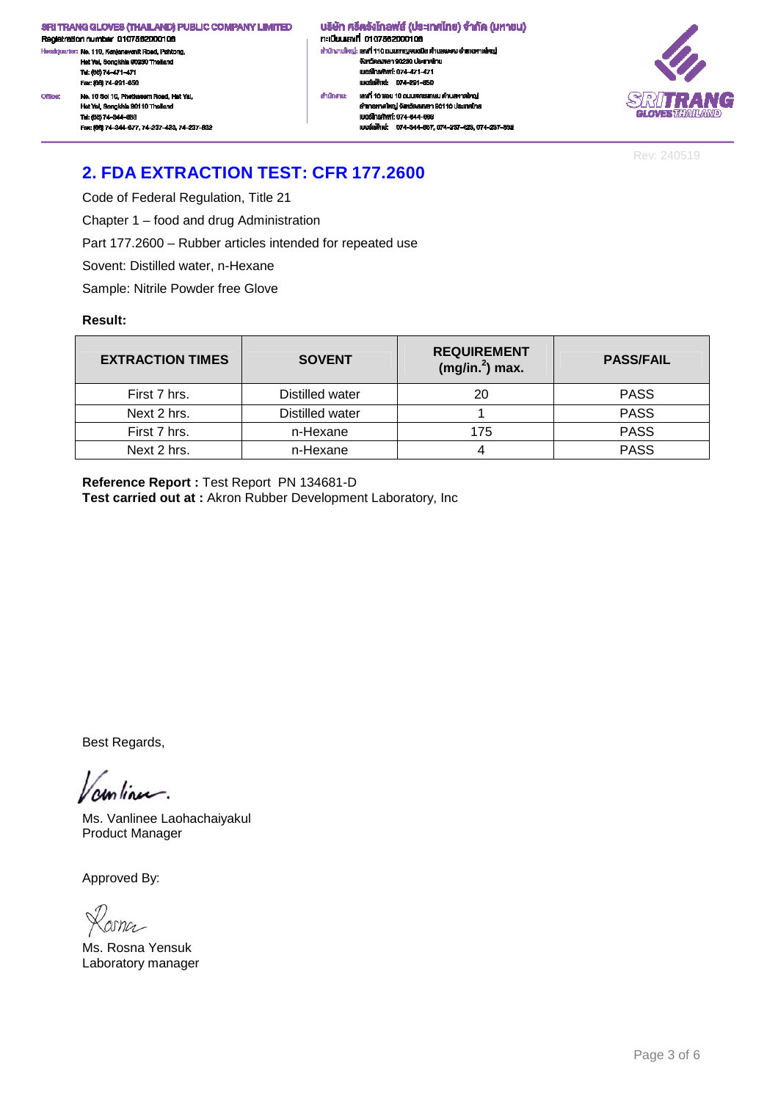Registration number 0107562000106 .<br>dquarter: No. 110, Kanjanavanit Road, Pahtong, .<br>He Hat Yai, Songkhla 90230 Thailand<br>Tel: (66) 74-471-471 Fex: (66) 74-201-660 No. 10 Soi 10, Phetkasem Road, Hat Yal, Office Hat Yai, Songkhia 90110 Thailand Tel: (66) 74-344-663

Fec: (66) 74-344-677, 74-237-423, 74-237-832

้ บริษัท ศรีตรังโทลฟส์ (ประเทศไทย) จำกัด (มหาชน) n: เมียนเลงที่ 0107562000106 สำนักงานใหญ่: เสงที่ 110 ถนนกาญจนวนิช พำบลพะตง อำเภอหาดใหญ่ งังหวัดสงหลา 90230 ประเทศไทย<br>เบอร์โทรศัพท์: 074-471-471 เมษร์แพ็กล่ะ 074-201-650 เลฟที่ 10 ซอย 10 ถนนเพชรเกษม ดำนลหาดใหญ่ ahūninu: อำเภอหาคใหญ่ จังหวัดสงขลา 90110 ประเทศไทย IUDS TrishWrf: 074-344-003 เบอร์แฟ็กซ์: 074-344-667.074-237-423.074-237-632



Rev: 240519

## **2. FDA EXTRACTION TEST: CFR 177.2600**

Code of Federal Regulation, Title 21

Chapter 1 – food and drug Administration

Part 177.2600 – Rubber articles intended for repeated use

Sovent: Distilled water, n-Hexane

Sample: Nitrile Powder free Glove

### **Result:**

| <b>EXTRACTION TIMES</b> | <b>SOVENT</b>   | <b>REQUIREMENT</b><br>$(mg/in.2)$ max. | <b>PASS/FAIL</b> |
|-------------------------|-----------------|----------------------------------------|------------------|
| First 7 hrs.            | Distilled water | 20                                     | <b>PASS</b>      |
| Next 2 hrs.             | Distilled water |                                        | <b>PASS</b>      |
| First 7 hrs.            | n-Hexane        | 175                                    | <b>PASS</b>      |
| Next 2 hrs.             | n-Hexane        |                                        | <b>PASS</b>      |

**Reference Report :** Test Report PN 134681-D **Test carried out at :** Akron Rubber Development Laboratory, Inc

Best Regards,

continu.

Ms. Vanlinee Laohachaiyakul Product Manager

osna

Ms. Rosna Yensuk Laboratory manager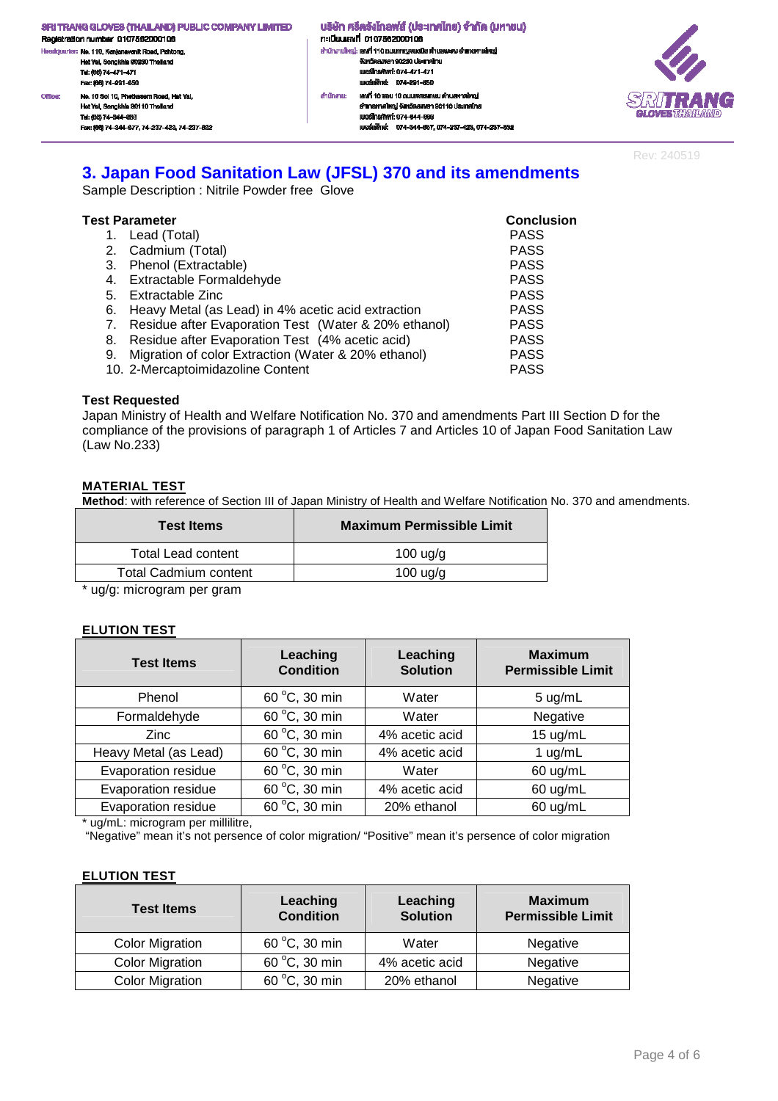- .<br>ciquarter: No. 110, Kanjanavanit Road, Pahtong, .<br>He Hat Yai, Songkhla 90230 Thailand Tel: (66) 74-471-471 Fex: (66) 74-201-660 No. 10 Soi 10, Phetkasem Road, Hat Yal, Office: Hat Yai, Songkhia 90110 Thailand Tel: (66) 74-344-663 Fec: (66) 74-344-677, 74-237-423, 74-237-832
- ้ บริษัท ศรีตรังโทลฟส์ (ประเทศไทย) จำกัด (มหาชน) n: เมียนเลงที่ 0107562000106 สำนักงานใหญ่: เสงที่ 110 ถนนกาญจนอนิช ด้านสพะดง อำเภอคาดใหญ่ งังหวัดสงหลา 90230 ประเทศไทย<br>เบอร์โทรศัพท์: 074-471-471 เมอร์เพ็กล่ะ 074-201-650 เลฟที่ 10 ซอย 10 ถนนเพชรเกษม ดำนลหาดใหญ่ ahūninu: อำเภอหาคใหญ่ จังหวัดสงขลา 90110 ประเทศไทย IUDS TrishWrf: 074-344-003 เนอร์เพ็กซ์: 074-344-667, 074-237-423, 074-237-632



Rev: 240519

### **3. Japan Food Sanitation Law (JFSL) 370 and its amendments**

Sample Description : Nitrile Powder free Glove

|    | Test Parameter                                          | <b>Conclusion</b> |
|----|---------------------------------------------------------|-------------------|
|    | 1. Lead (Total)                                         | <b>PASS</b>       |
|    | 2. Cadmium (Total)                                      | <b>PASS</b>       |
|    | 3. Phenol (Extractable)                                 | <b>PASS</b>       |
|    | 4. Extractable Formaldehyde                             | <b>PASS</b>       |
|    | 5. Extractable Zinc                                     | <b>PASS</b>       |
|    | 6. Heavy Metal (as Lead) in 4% acetic acid extraction   | <b>PASS</b>       |
|    | 7. Residue after Evaporation Test (Water & 20% ethanol) | <b>PASS</b>       |
| 8. | Residue after Evaporation Test (4% acetic acid)         | <b>PASS</b>       |
|    | 9. Migration of color Extraction (Water & 20% ethanol)  | <b>PASS</b>       |
|    | 10. 2-Mercaptoimidazoline Content                       | <b>PASS</b>       |

### **Test Requested**

Japan Ministry of Health and Welfare Notification No. 370 and amendments Part III Section D for the compliance of the provisions of paragraph 1 of Articles 7 and Articles 10 of Japan Food Sanitation Law (Law No.233)

### **MATERIAL TEST**

**Method**: with reference of Section III of Japan Ministry of Health and Welfare Notification No. 370 and amendments.

| <b>Test Items</b>         | <b>Maximum Permissible Limit</b> |
|---------------------------|----------------------------------|
| <b>Total Lead content</b> | $100 \text{ u}g/g$               |
| Total Cadmium content     | $100 \text{ u}g/g$               |
|                           |                                  |

\* ug/g: microgram per gram

### **ELUTION TEST**

| <b>Test Items</b>     | Leaching<br><b>Condition</b> | Leaching<br><b>Solution</b> | <b>Maximum</b><br><b>Permissible Limit</b> |
|-----------------------|------------------------------|-----------------------------|--------------------------------------------|
| Phenol                | 60 °C, 30 min                | Water                       | 5 ug/mL                                    |
| Formaldehyde          | 60 °C, 30 min                | Water                       | Negative                                   |
| <b>Zinc</b>           | 60 °C, 30 min                | 4% acetic acid              | 15 ug/mL                                   |
| Heavy Metal (as Lead) | 60 °C, 30 min                | 4% acetic acid              | 1 $ug/mL$                                  |
| Evaporation residue   | 60 °C, 30 min                | Water                       | 60 ug/mL                                   |
| Evaporation residue   | 60 °C, 30 min                | 4% acetic acid              | 60 ug/mL                                   |
| Evaporation residue   | 60 °C, 30 min                | 20% ethanol                 | 60 ug/mL                                   |

\* ug/mL: microgram per millilitre,

"Negative" mean it's not persence of color migration/ "Positive" mean it's persence of color migration

### **ELUTION TEST**

| <b>Test Items</b>      | Leaching<br><b>Condition</b> | Leaching<br><b>Solution</b> | <b>Maximum</b><br><b>Permissible Limit</b> |
|------------------------|------------------------------|-----------------------------|--------------------------------------------|
| <b>Color Migration</b> | 60 °C, 30 min                | Water                       | Negative                                   |
| <b>Color Migration</b> | 60 °C, 30 min                | 4% acetic acid              | Negative                                   |
| <b>Color Migration</b> | 60 °C, 30 min                | 20% ethanol                 | Negative                                   |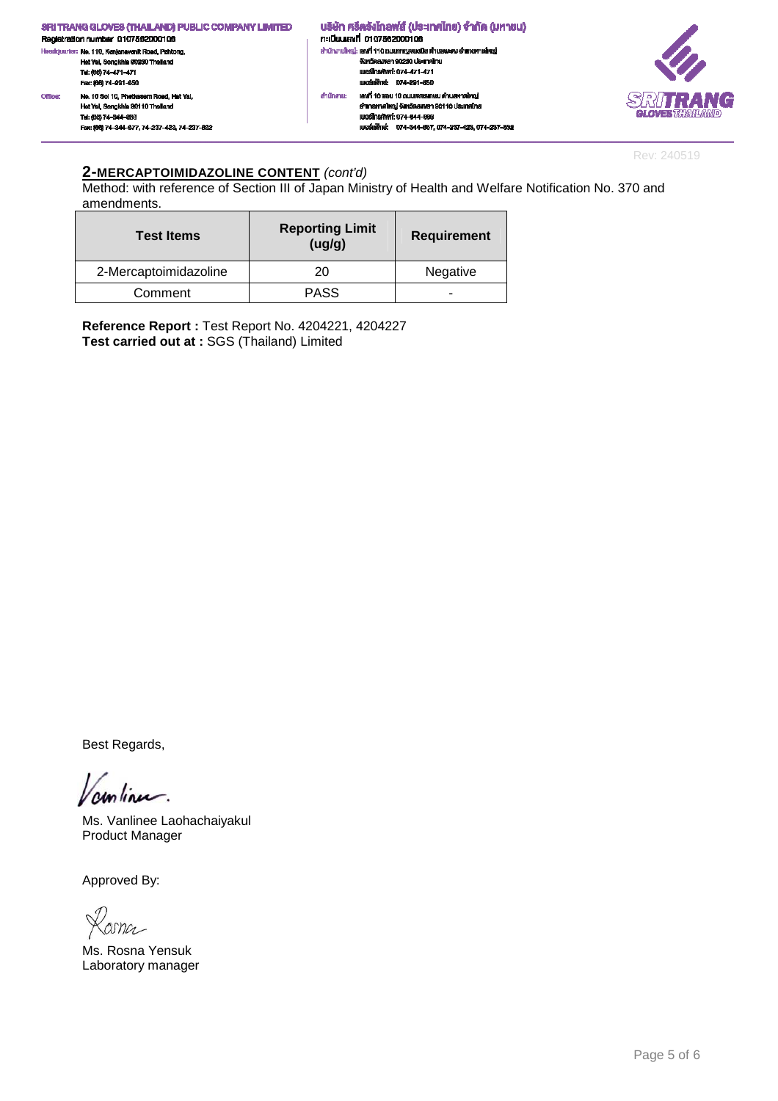

Rev: 240519

### **2-MERCAPTOIMIDAZOLINE CONTENT** (cont'd)

Method: with reference of Section III of Japan Ministry of Health and Welfare Notification No. 370 and amendments.

| <b>Test Items</b>     | <b>Reporting Limit</b><br>(ug/g) | <b>Requirement</b> |
|-----------------------|----------------------------------|--------------------|
| 2-Mercaptoimidazoline | 20                               | Negative           |
| Comment               | PASS                             | -                  |

**Reference Report :** Test Report No. 4204221, 4204227 **Test carried out at :** SGS (Thailand) Limited

Best Regards,

unlinu.

Ms. Vanlinee Laohachaiyakul Product Manager

Losna

Ms. Rosna Yensuk Laboratory manager